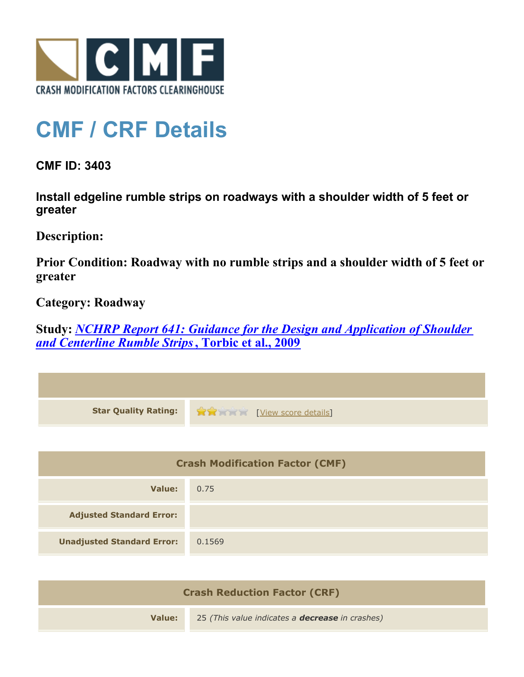

## **CMF / CRF Details**

**CMF ID: 3403**

**Install edgeline rumble strips on roadways with a shoulder width of 5 feet or greater**

**Description:** 

**Prior Condition: Roadway with no rumble strips and a shoulder width of 5 feet or greater**

**Category: Roadway**

**Study:** *[NCHRP Report 641: Guidance for the Design and Application of Shoulder](http://www.cmfclearinghouse.org/study_detail.cfm?stid=206) [and Centerline Rumble Strips](http://www.cmfclearinghouse.org/study_detail.cfm?stid=206)***[, Torbic et al., 2009](http://www.cmfclearinghouse.org/study_detail.cfm?stid=206)**

| <b>Star Quality Rating:</b>            | View score details |
|----------------------------------------|--------------------|
|                                        |                    |
| <b>Crash Modification Factor (CMF)</b> |                    |
| <b>Value:</b>                          | 0.75               |
| <b>Adjusted Standard Error:</b>        |                    |
| <b>Unadjusted Standard Error:</b>      | 0.1569             |
|                                        |                    |

| <b>Crash Reduction Factor (CRF)</b> |                                                        |
|-------------------------------------|--------------------------------------------------------|
| Value:                              | 25 (This value indicates a <b>decrease</b> in crashes) |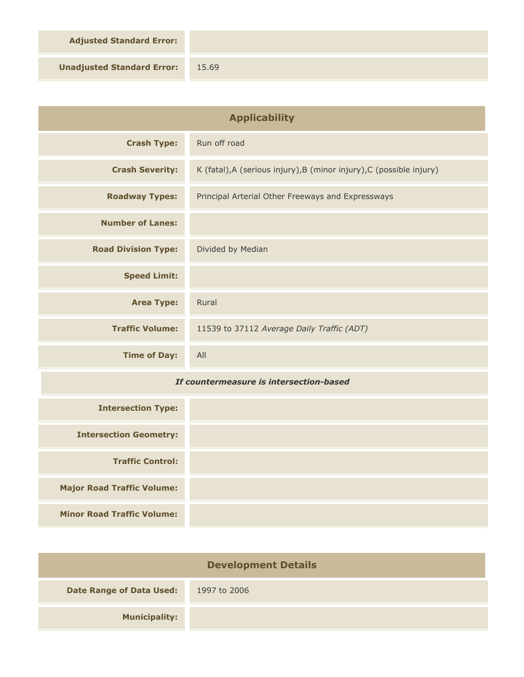**Adjusted Standard Error:**

**Unadjusted Standard Error:** 15.69

| <b>Applicability</b>                    |                                                                      |
|-----------------------------------------|----------------------------------------------------------------------|
| <b>Crash Type:</b>                      | Run off road                                                         |
| <b>Crash Severity:</b>                  | K (fatal), A (serious injury), B (minor injury), C (possible injury) |
| <b>Roadway Types:</b>                   | Principal Arterial Other Freeways and Expressways                    |
| <b>Number of Lanes:</b>                 |                                                                      |
| <b>Road Division Type:</b>              | Divided by Median                                                    |
| <b>Speed Limit:</b>                     |                                                                      |
| <b>Area Type:</b>                       | Rural                                                                |
| <b>Traffic Volume:</b>                  | 11539 to 37112 Average Daily Traffic (ADT)                           |
| <b>Time of Day:</b>                     | All                                                                  |
| If countermeasure is intersection-based |                                                                      |
| <b>Intersection Type:</b>               |                                                                      |
| <b>Intersection Geometry:</b>           |                                                                      |
| <b>Traffic Control:</b>                 |                                                                      |
| <b>Major Road Traffic Volume:</b>       |                                                                      |
| <b>Minor Road Traffic Volume:</b>       |                                                                      |

| <b>Development Details</b>      |              |  |
|---------------------------------|--------------|--|
| <b>Date Range of Data Used:</b> | 1997 to 2006 |  |
| <b>Municipality:</b>            |              |  |